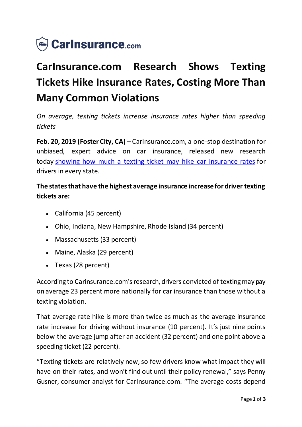

# **CarInsurance.com Research Shows Texting Tickets Hike Insurance Rates, Costing More Than Many Common Violations**

*On average, texting tickets increase insurance rates higher than speeding tickets*

**Feb. 20, 2019 (Foster City, CA)** – CarInsurance.com, a one-stop destination for unbiased, expert advice on car insurance, released new research today [showing how much a texting ticket may hike car insurance rates](https://www.carinsurance.com/how-much-car-insurance-goes-up-after-texting-ticket) for drivers in every state.

## **The states that have the highest average insurance increase for driver texting tickets are:**

- California (45 percent)
- Ohio, Indiana, New Hampshire, Rhode Island (34 percent)
- Massachusetts (33 percent)
- Maine, Alaska (29 percent)
- Texas (28 percent)

According to Carinsurance.com's research, drivers convicted of texting may pay on average 23 percent more nationally for car insurance than those without a texting violation.

That average rate hike is more than twice as much as the average insurance rate increase for driving without insurance (10 percent). It's just nine points below the average jump after an accident (32 percent) and one point above a speeding ticket (22 percent).

"Texting tickets are relatively new, so few drivers know what impact they will have on their rates, and won't find out until their policy renewal," says Penny Gusner, consumer analyst for CarInsurance.com. "The average costs depend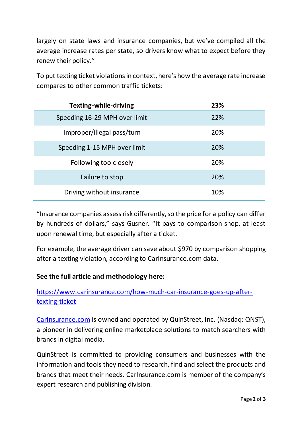largely on state laws and insurance companies, but we've compiled all the average increase rates per state, so drivers know what to expect before they renew their policy."

To put texting ticket violations in context, here's how the average rate increase compares to other common traffic tickets:

| <b>Texting-while-driving</b>  | 23% |
|-------------------------------|-----|
| Speeding 16-29 MPH over limit | 22% |
| Improper/illegal pass/turn    | 20% |
| Speeding 1-15 MPH over limit  | 20% |
| Following too closely         | 20% |
| Failure to stop               | 20% |
| Driving without insurance     | 10% |

"Insurance companies assess risk differently, so the price for a policy can differ by hundreds of dollars," says Gusner. "It pays to comparison shop, at least upon renewal time, but especially after a ticket.

For example, the average driver can save about \$970 by comparison shopping after a texting violation, according to CarInsurance.com data.

### **See the full article and methodology here:**

[https://www.carinsurance.com/how-much-car-insurance-goes-up-after](https://www.carinsurance.com/how-much-car-insurance-goes-up-after-texting-ticket)[texting-ticket](https://www.carinsurance.com/how-much-car-insurance-goes-up-after-texting-ticket)

[CarInsurance.com](https://www.carinsurance.com/) is owned and operated by QuinStreet, Inc. (Nasdaq: QNST), a pioneer in delivering online marketplace solutions to match searchers with brands in digital media.

QuinStreet is committed to providing consumers and businesses with the information and tools they need to research, find and select the products and brands that meet their needs. CarInsurance.com is member of the company's expert research and publishing division.